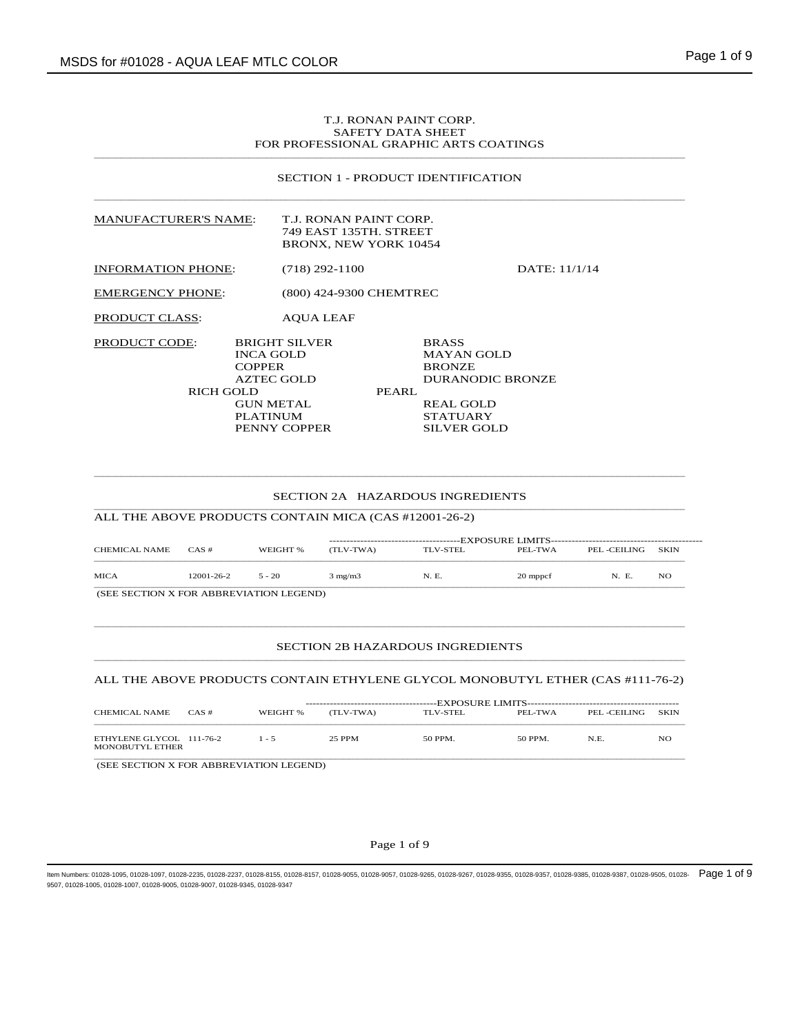# T.J. RONAN PAINT CORP. SAFETY DATA SHEET FOR PROFESSIONAL GRAPHIC ARTS COATINGS

### SECTION 1 - PRODUCT IDENTIFICATION

| <b>MANUFACTURER'S NAME:</b> |                                                                         | T.J. RONAN PAINT CORP.<br>749 EAST 135TH, STREET<br><b>BRONX, NEW YORK 10454</b> |                                                                        |  |
|-----------------------------|-------------------------------------------------------------------------|----------------------------------------------------------------------------------|------------------------------------------------------------------------|--|
| <b>INFORMATION PHONE:</b>   | $(718)$ 292-1100                                                        |                                                                                  | DATE: $11/1/14$                                                        |  |
| <b>EMERGENCY PHONE:</b>     |                                                                         | (800) 424-9300 CHEMTREC                                                          |                                                                        |  |
| PRODUCT CLASS:              | <b>AOUA LEAF</b>                                                        |                                                                                  |                                                                        |  |
| <b>PRODUCT CODE:</b>        | <b>BRIGHT SILVER</b><br><b>INCA GOLD</b><br><b>COPPER</b><br>AZTEC GOLD |                                                                                  | <b>BRASS</b><br><b>MAYAN GOLD</b><br><b>BRONZE</b><br>DURANODIC BRONZE |  |
| RICH GOLD                   |                                                                         | PEARL                                                                            |                                                                        |  |
|                             | <b>GUN METAL</b>                                                        |                                                                                  | <b>REAL GOLD</b>                                                       |  |
|                             | <b>PLATINUM</b>                                                         |                                                                                  | <b>STATUARY</b>                                                        |  |
|                             | PENNY COPPER                                                            |                                                                                  | <b>SILVER GOLD</b>                                                     |  |

#### SECTION 2A HAZARDOUS INGREDIENTS  $\bot$  , and the state of the state of the state of the state of the state of the state of the state of the state of the state of the state of the state of the state of the state of the state of the state of the state of th

\_\_\_\_\_\_\_\_\_\_\_\_\_\_\_\_\_\_\_\_\_\_\_\_\_\_\_\_\_\_\_\_\_\_\_\_\_\_\_\_\_\_\_\_\_\_\_\_\_\_\_\_\_\_\_\_\_\_\_\_\_\_\_\_\_\_\_\_\_\_\_\_\_\_\_\_\_\_\_\_\_\_\_\_\_\_\_\_\_\_\_\_\_\_\_\_\_\_\_\_\_\_\_\_\_\_\_\_\_\_\_\_\_\_\_\_\_\_\_\_\_\_\_\_\_\_\_\_\_\_

ALL THE ABOVE PRODUCTS CONTAIN MICA (CAS #12001-26-2)

| CHEMICAL NAME                                 | CAS#       | WEIGHT % | (TLV-TWA)        | TLV-STEL | PEL-TWA  | PEL -CEILING | <b>SKIN</b> |  |  |  |
|-----------------------------------------------|------------|----------|------------------|----------|----------|--------------|-------------|--|--|--|
| <b>MICA</b>                                   | 12001-26-2 | $5 - 20$ | $3 \text{ mg/m}$ | N. E.    | 20 mppcf | N. E.        | NO          |  |  |  |
| <b>CEE SECTION V FOR ADDREVIATION LECENDY</b> |            |          |                  |          |          |              |             |  |  |  |

(SEE SECTION X FOR ABBREVIATION LEGEND)

#### SECTION 2B HAZARDOUS INGREDIENTS  $\bot$  , and the state of the state of the state of the state of the state of the state of the state of the state of the state of the state of the state of the state of the state of the state of the state of the state of th

### ALL THE ABOVE PRODUCTS CONTAIN ETHYLENE GLYCOL MONOBUTYL ETHER (CAS #111-76-2)

 $\bot$  , and the state of the state of the state of the state of the state of the state of the state of the state of the state of the state of the state of the state of the state of the state of the state of the state of th

| CHEMICAL NAME                               | CAS# | WEIGHT % | ------------------------------<br>(TLV-TWA) | TLV-STEL | PEL-TWA | PEL -CEILING | SKIN |
|---------------------------------------------|------|----------|---------------------------------------------|----------|---------|--------------|------|
| ETHYLENE GLYCOL 111-76-2<br>MONOBUTYL ETHER |      | $1 - 5$  | 25 PPM                                      | 50 PPM.  | 50 PPM. | N.E.         | NO   |
| (SEE SECTION X FOR ABBREVIATION LEGEND)     |      |          |                                             |          |         |              |      |

### Page 1 of 9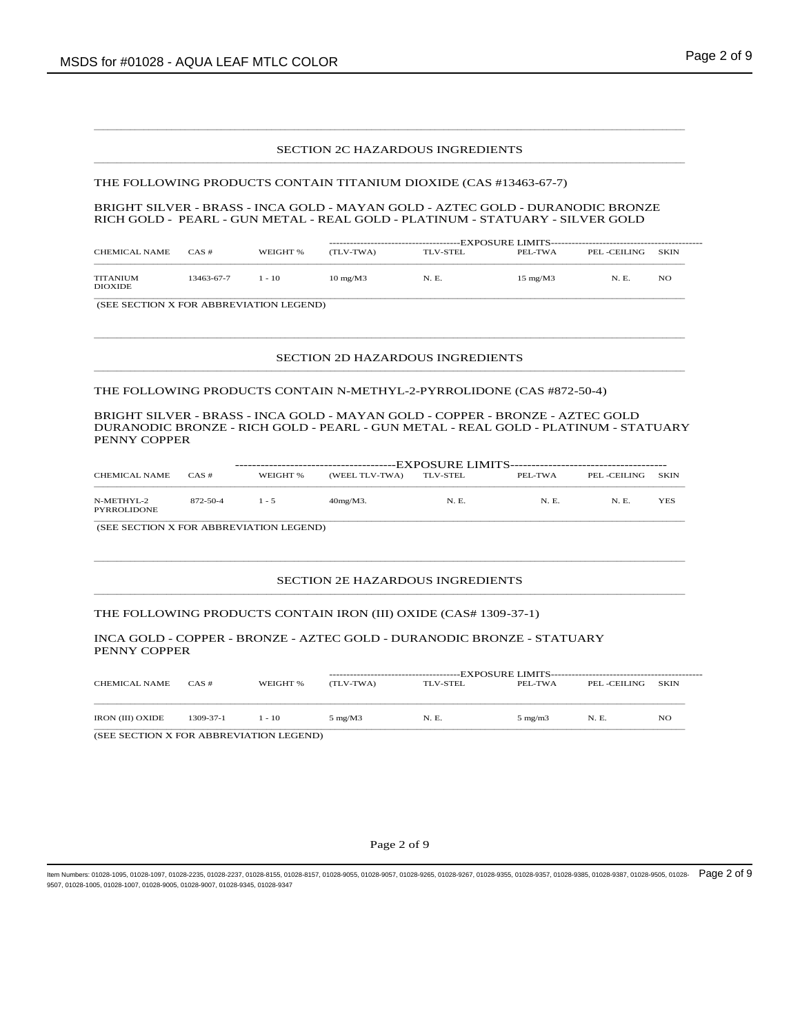### SECTION 2C HAZARDOUS INGREDIENTS

 $\bot$  , and the state of the state of the state of the state of the state of the state of the state of the state of the state of the state of the state of the state of the state of the state of the state of the state of th

 $\bot$  , and the state of the state of the state of the state of the state of the state of the state of the state of the state of the state of the state of the state of the state of the state of the state of the state of th

### THE FOLLOWING PRODUCTS CONTAIN TITANIUM DIOXIDE (CAS #13463-67-7)

BRIGHT SILVER - BRASS - INCA GOLD - MAYAN GOLD - AZTEC GOLD - DURANODIC BRONZE RICH GOLD - PEARL - GUN METAL - REAL GOLD - PLATINUM - STATUARY - SILVER GOLD

| <b>CHEMICAL NAME</b>              | $CAS \#$   | WEIGHT % | -------------------------------<br>(TLV-TWA) | TLV-STEL | PEL-TWA                | PEL -CEILING | <b>SKIN</b> |
|-----------------------------------|------------|----------|----------------------------------------------|----------|------------------------|--------------|-------------|
| <b>TITANIUM</b><br><b>DIOXIDE</b> | 13463-67-7 | $1 - 10$ | $10 \text{ mg}$ /M $3$                       | N. E.    | $15 \text{ mg}$ /M $3$ | N. E.        | NO          |

(SEE SECTION X FOR ABBREVIATION LEGEND)

### SECTION 2D HAZARDOUS INGREDIENTS

 $\bot$  , and the state of the state of the state of the state of the state of the state of the state of the state of the state of the state of the state of the state of the state of the state of the state of the state of th

\_\_\_\_\_\_\_\_\_\_\_\_\_\_\_\_\_\_\_\_\_\_\_\_\_\_\_\_\_\_\_\_\_\_\_\_\_\_\_\_\_\_\_\_\_\_\_\_\_\_\_\_\_\_\_\_\_\_\_\_\_\_\_\_\_\_\_\_\_\_\_\_\_\_\_\_\_\_\_\_\_\_\_\_\_\_\_\_\_\_\_\_\_\_\_\_\_\_\_\_\_\_\_\_\_\_\_\_\_\_\_\_\_\_\_\_\_\_\_\_\_\_\_\_\_\_\_\_\_\_

THE FOLLOWING PRODUCTS CONTAIN N-METHYL-2-PYRROLIDONE (CAS #872-50-4)

BRIGHT SILVER - BRASS - INCA GOLD - MAYAN GOLD - COPPER - BRONZE - AZTEC GOLD DURANODIC BRONZE - RICH GOLD - PEARL - GUN METAL - REAL GOLD - PLATINUM - STATUARY PENNY COPPER

| <b>CHEMICAL NAME</b>      | CAS#     | WEIGHT % | (WEEL TLV-TWA) | TLV-STEL | PEL-TWA | PEL -CEILING | SKIN |  |  |  |
|---------------------------|----------|----------|----------------|----------|---------|--------------|------|--|--|--|
| N-METHYL-2<br>PYRROLIDONE | 872-50-4 | $1 - 5$  | $40mg/M3$ .    | N. E.    | N. E.   | N. E.        | YES  |  |  |  |

 $\bot$  , and the state of the state of the state of the state of the state of the state of the state of the state of the state of the state of the state of the state of the state of the state of the state of the state of th

(SEE SECTION X FOR ABBREVIATION LEGEND)

#### SECTION 2E HAZARDOUS INGREDIENTS  $\bot$  , and the state of the state of the state of the state of the state of the state of the state of the state of the state of the state of the state of the state of the state of the state of the state of the state of th

### THE FOLLOWING PRODUCTS CONTAIN IRON (III) OXIDE (CAS# 1309-37-1)

INCA GOLD - COPPER - BRONZE - AZTEC GOLD - DURANODIC BRONZE - STATUARY PENNY COPPER

| CHEMICAL NAME           | $CAS \#$  | WEIGHT % | (TLV-TWA)                | TLV-STEL | PEL-TWA          | PEL -CEILING | <b>SKIN</b> |
|-------------------------|-----------|----------|--------------------------|----------|------------------|--------------|-------------|
| <b>IRON (III) OXIDE</b> | 1309-37-1 | $1 - 10$ | $5 \text{ mg}/\text{M}3$ | N. E.    | $5 \text{ mg/m}$ | N. E.        | NO.         |

(SEE SECTION X FOR ABBREVIATION LEGEND)

#### Page 2 of 9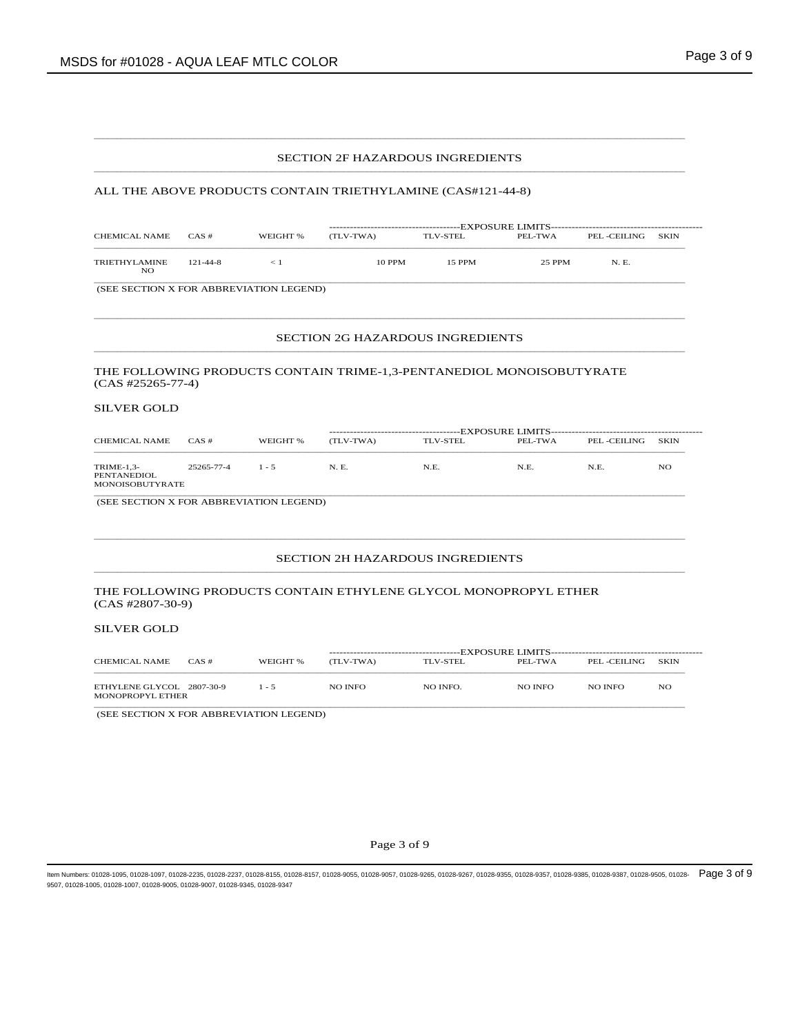#### SECTION 2F HAZARDOUS INGREDIENTS  $\bot$  , and the state of the state of the state of the state of the state of the state of the state of the state of the state of the state of the state of the state of the state of the state of the state of the state of th

 $\bot$  , and the state of the state of the state of the state of the state of the state of the state of the state of the state of the state of the state of the state of the state of the state of the state of the state of th

### ALL THE ABOVE PRODUCTS CONTAIN TRIETHYLAMINE (CAS#121-44-8)

| CHEMICAL NAME        | $CAS \#$       | WEIGHT % | (TLV-TWA) | TLV-STEL | PEL-TWA | PEL -CEILING | <b>SKIN</b> |  |  |
|----------------------|----------------|----------|-----------|----------|---------|--------------|-------------|--|--|
| TRIETHYLAMINE<br>NO. | $121 - 44 - 8$ |          | 10 PPM    | 15 PPM   | 25 PPM  | N. E.        |             |  |  |

(SEE SECTION X FOR ABBREVIATION LEGEND)

#### SECTION 2G HAZARDOUS INGREDIENTS  $\bot$  , and the state of the state of the state of the state of the state of the state of the state of the state of the state of the state of the state of the state of the state of the state of the state of the state of th

 $\bot$  , and the state of the state of the state of the state of the state of the state of the state of the state of the state of the state of the state of the state of the state of the state of the state of the state of th

### THE FOLLOWING PRODUCTS CONTAIN TRIME-1,3-PENTANEDIOL MONOISOBUTYRATE (CAS #25265-77-4)

## SILVER GOLD

| <b>CHEMICAL NAME</b>                                | $CAS \#$   | WEIGHT % | (TLV-TWA) | TLV-STEL | PEL-TWA | PEL -CEILING | <b>SKIN</b> |  |  |
|-----------------------------------------------------|------------|----------|-----------|----------|---------|--------------|-------------|--|--|
| TRIME-1,3-<br><b>PENTANEDIOL</b><br>MONOISOBUTYRATE | 25265-77-4 | $1 - 5$  | N. E.     | N.E.     | N.E.    | N.E.         | NO          |  |  |

(SEE SECTION X FOR ABBREVIATION LEGEND)

#### SECTION 2H HAZARDOUS INGREDIENTS  $\bot$  , and the state of the state of the state of the state of the state of the state of the state of the state of the state of the state of the state of the state of the state of the state of the state of the state of th

 $\bot$  , and the state of the state of the state of the state of the state of the state of the state of the state of the state of the state of the state of the state of the state of the state of the state of the state of th

### THE FOLLOWING PRODUCTS CONTAIN ETHYLENE GLYCOL MONOPROPYL ETHER (CAS #2807-30-9)

### SILVER GOLD

| CHEMICAL NAME                                 | CAS# | WEIGHT % | (TLV-TWA) | TLV-STEL | PEL-TWA | PEL -CEILING | <b>SKIN</b> |
|-----------------------------------------------|------|----------|-----------|----------|---------|--------------|-------------|
| ETHYLENE GLYCOL 2807-30-9<br>MONOPROPYL ETHER |      | $1 - 5$  | NO INFO   | NO INFO. | NO INFO | NO INFO      | NO          |

(SEE SECTION X FOR ABBREVIATION LEGEND)

Page 3 of 9

ltem Numbers: 01028-1095, 01028-1097, 01028-2235, 01028-2237, 01028-8155, 01028-8157, 01028-9055, 01028-9355, 01028-9357, 01028-9355, 01028-9357, 01028-9385, 01028-9385, 01028-9387, 01028-9387, 01028-9387, 01028-9387, 0102 9507, 01028-1005, 01028-1007, 01028-9005, 01028-9007, 01028-9345, 01028-9347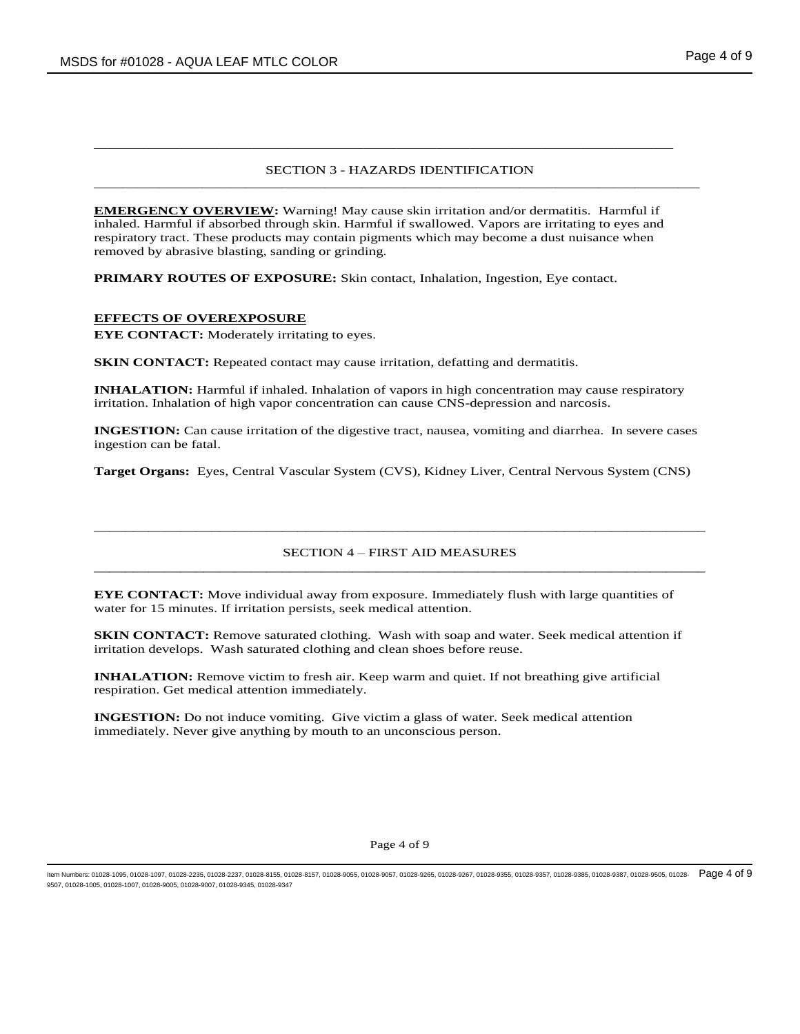## SECTION 3 - HAZARDS IDENTIFICATION \_\_\_\_\_\_\_\_\_\_\_\_\_\_\_\_\_\_\_\_\_\_\_\_\_\_\_\_\_\_\_\_\_\_\_\_\_\_\_\_\_\_\_\_\_\_\_\_\_\_\_\_\_\_\_\_\_\_\_\_\_\_\_\_\_\_\_\_\_\_\_\_\_\_\_\_\_\_\_\_\_\_\_\_

**EMERGENCY OVERVIEW:** Warning! May cause skin irritation and/or dermatitis. Harmful if inhaled. Harmful if absorbed through skin. Harmful if swallowed. Vapors are irritating to eyes and respiratory tract. These products may contain pigments which may become a dust nuisance when removed by abrasive blasting, sanding or grinding.

\_\_\_\_\_\_\_\_\_\_\_\_\_\_\_\_\_\_\_\_\_\_\_\_\_\_\_\_\_\_\_\_\_\_\_\_\_\_\_\_\_\_\_\_\_\_\_\_\_\_\_\_\_\_\_\_\_\_\_\_\_\_\_\_\_\_\_\_\_\_\_\_\_\_\_\_\_\_\_\_\_\_\_\_\_\_\_\_

**PRIMARY ROUTES OF EXPOSURE:** Skin contact, Inhalation, Ingestion, Eye contact.

## **EFFECTS OF OVEREXPOSURE**

**EYE CONTACT:** Moderately irritating to eyes.

**SKIN CONTACT:** Repeated contact may cause irritation, defatting and dermatitis.

**INHALATION:** Harmful if inhaled. Inhalation of vapors in high concentration may cause respiratory irritation. Inhalation of high vapor concentration can cause CNS-depression and narcosis.

**INGESTION:** Can cause irritation of the digestive tract, nausea, vomiting and diarrhea. In severe cases ingestion can be fatal.

**Target Organs:** Eyes, Central Vascular System (CVS), Kidney Liver, Central Nervous System (CNS)

## SECTION 4 – FIRST AID MEASURES \_\_\_\_\_\_\_\_\_\_\_\_\_\_\_\_\_\_\_\_\_\_\_\_\_\_\_\_\_\_\_\_\_\_\_\_\_\_\_\_\_\_\_\_\_\_\_\_\_\_\_\_\_\_\_\_\_\_\_\_\_\_\_\_\_\_\_\_\_\_\_\_\_\_\_\_\_\_

\_\_\_\_\_\_\_\_\_\_\_\_\_\_\_\_\_\_\_\_\_\_\_\_\_\_\_\_\_\_\_\_\_\_\_\_\_\_\_\_\_\_\_\_\_\_\_\_\_\_\_\_\_\_\_\_\_\_\_\_\_\_\_\_\_\_\_\_\_\_\_\_\_\_\_\_\_\_

**EYE CONTACT:** Move individual away from exposure. Immediately flush with large quantities of water for 15 minutes. If irritation persists, seek medical attention.

**SKIN CONTACT:** Remove saturated clothing. Wash with soap and water. Seek medical attention if irritation develops. Wash saturated clothing and clean shoes before reuse.

**INHALATION:** Remove victim to fresh air. Keep warm and quiet. If not breathing give artificial respiration. Get medical attention immediately.

**INGESTION:** Do not induce vomiting. Give victim a glass of water. Seek medical attention immediately. Never give anything by mouth to an unconscious person.

### Page 4 of 9

ltem Numbers: 01028-1095, 01028-1097, 01028-2235, 01028-2237, 01028-8155, 01028-8157, 01028-9055, 01028-9355, 01028-9357, 01028-9355, 01028-9357, 01028-9385, 01028-9385, 01028-9387, 01028-9387, 01028-9387, 01028-9387, 0102 9507, 01028-1005, 01028-1007, 01028-9005, 01028-9007, 01028-9345, 01028-9347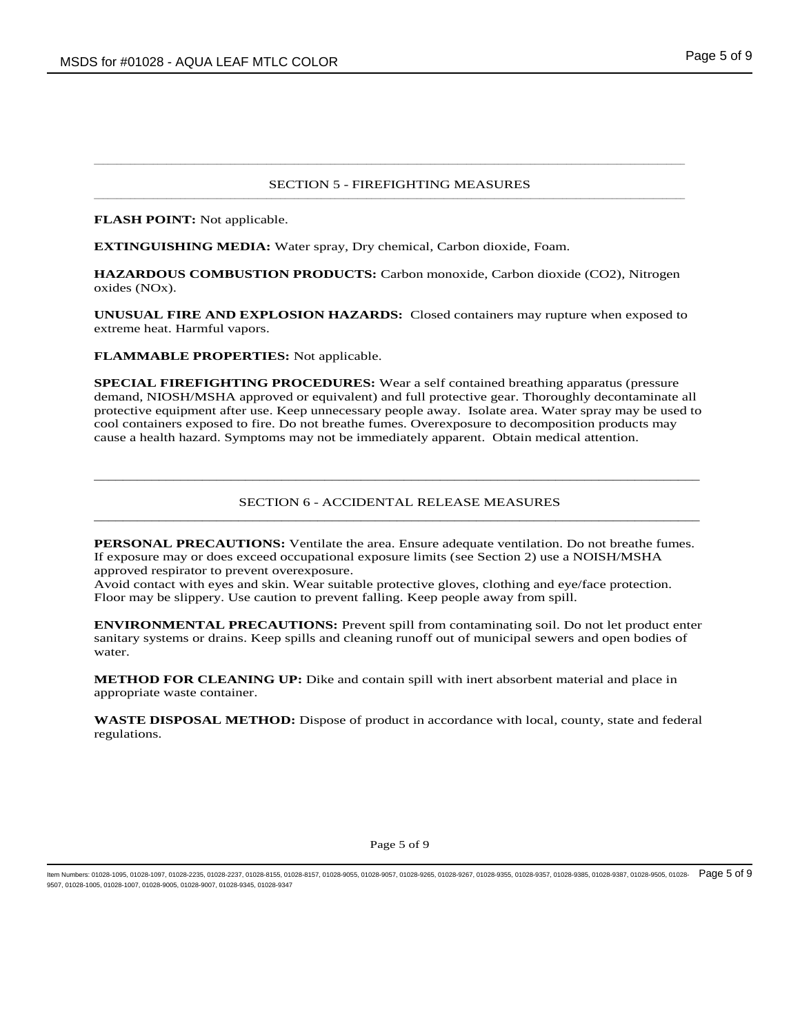#### SECTION 5 - FIREFIGHTING MEASURES  $\bot$  , and the state of the state of the state of the state of the state of the state of the state of the state of the state of the state of the state of the state of the state of the state of the state of the state of th

 $\bot$  , and the state of the state of the state of the state of the state of the state of the state of the state of the state of the state of the state of the state of the state of the state of the state of the state of th

**FLASH POINT:** Not applicable.

**EXTINGUISHING MEDIA:** Water spray, Dry chemical, Carbon dioxide, Foam.

**HAZARDOUS COMBUSTION PRODUCTS:** Carbon monoxide, Carbon dioxide (CO2), Nitrogen oxides (NOx).

**UNUSUAL FIRE AND EXPLOSION HAZARDS:** Closed containers may rupture when exposed to extreme heat. Harmful vapors.

**FLAMMABLE PROPERTIES:** Not applicable.

**SPECIAL FIREFIGHTING PROCEDURES:** Wear a self contained breathing apparatus (pressure demand, NIOSH/MSHA approved or equivalent) and full protective gear. Thoroughly decontaminate all protective equipment after use. Keep unnecessary people away. Isolate area. Water spray may be used to cool containers exposed to fire. Do not breathe fumes. Overexposure to decomposition products may cause a health hazard. Symptoms may not be immediately apparent. Obtain medical attention.

## SECTION 6 - ACCIDENTAL RELEASE MEASURES \_\_\_\_\_\_\_\_\_\_\_\_\_\_\_\_\_\_\_\_\_\_\_\_\_\_\_\_\_\_\_\_\_\_\_\_\_\_\_\_\_\_\_\_\_\_\_\_\_\_\_\_\_\_\_\_\_\_\_\_\_\_\_\_\_\_\_\_\_\_\_\_\_\_\_\_\_\_\_\_\_\_\_\_

\_\_\_\_\_\_\_\_\_\_\_\_\_\_\_\_\_\_\_\_\_\_\_\_\_\_\_\_\_\_\_\_\_\_\_\_\_\_\_\_\_\_\_\_\_\_\_\_\_\_\_\_\_\_\_\_\_\_\_\_\_\_\_\_\_\_\_\_\_\_\_\_\_\_\_\_\_\_\_\_\_\_\_\_

**PERSONAL PRECAUTIONS:** Ventilate the area. Ensure adequate ventilation. Do not breathe fumes. If exposure may or does exceed occupational exposure limits (see Section 2) use a NOISH/MSHA approved respirator to prevent overexposure.

Avoid contact with eyes and skin. Wear suitable protective gloves, clothing and eye/face protection. Floor may be slippery. Use caution to prevent falling. Keep people away from spill.

**ENVIRONMENTAL PRECAUTIONS:** Prevent spill from contaminating soil. Do not let product enter sanitary systems or drains. Keep spills and cleaning runoff out of municipal sewers and open bodies of water.

**METHOD FOR CLEANING UP:** Dike and contain spill with inert absorbent material and place in appropriate waste container.

**WASTE DISPOSAL METHOD:** Dispose of product in accordance with local, county, state and federal regulations.

Page 5 of 9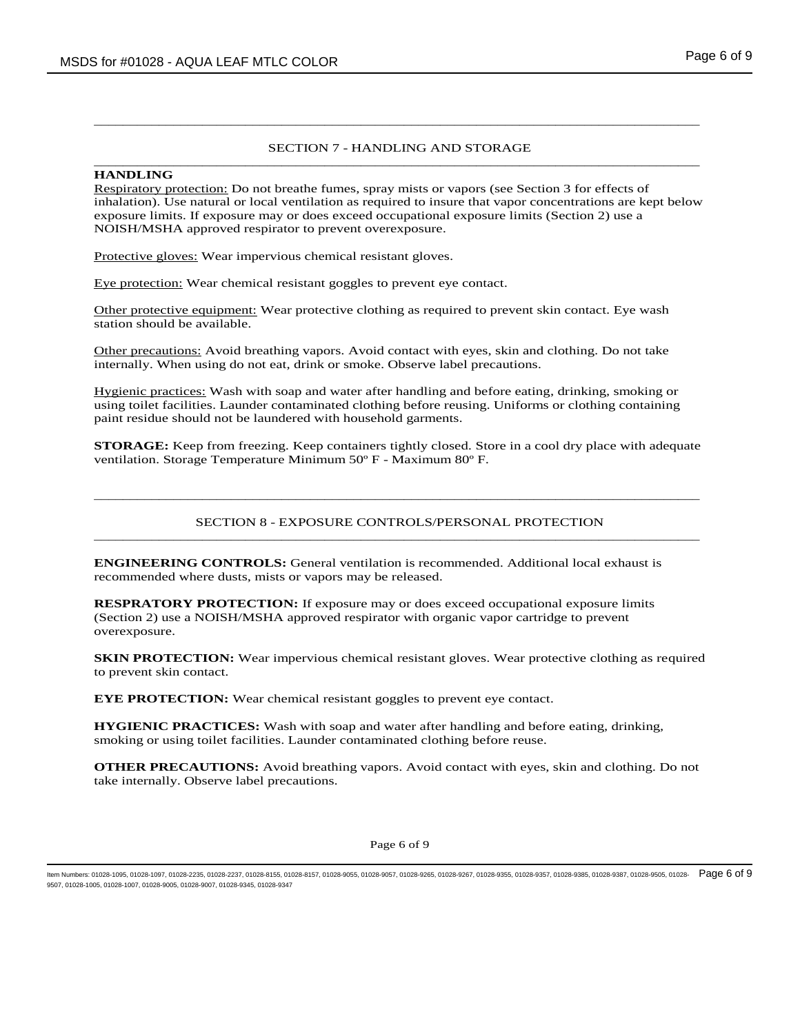## SECTION 7 - HANDLING AND STORAGE \_\_\_\_\_\_\_\_\_\_\_\_\_\_\_\_\_\_\_\_\_\_\_\_\_\_\_\_\_\_\_\_\_\_\_\_\_\_\_\_\_\_\_\_\_\_\_\_\_\_\_\_\_\_\_\_\_\_\_\_\_\_\_\_\_\_\_\_\_\_\_\_\_\_\_\_\_\_\_\_\_\_\_\_

\_\_\_\_\_\_\_\_\_\_\_\_\_\_\_\_\_\_\_\_\_\_\_\_\_\_\_\_\_\_\_\_\_\_\_\_\_\_\_\_\_\_\_\_\_\_\_\_\_\_\_\_\_\_\_\_\_\_\_\_\_\_\_\_\_\_\_\_\_\_\_\_\_\_\_\_\_\_\_\_\_\_\_\_

### **HANDLING**

Respiratory protection: Do not breathe fumes, spray mists or vapors (see Section 3 for effects of inhalation). Use natural or local ventilation as required to insure that vapor concentrations are kept below exposure limits. If exposure may or does exceed occupational exposure limits (Section 2) use a NOISH/MSHA approved respirator to prevent overexposure.

Protective gloves: Wear impervious chemical resistant gloves.

Eye protection: Wear chemical resistant goggles to prevent eye contact.

Other protective equipment: Wear protective clothing as required to prevent skin contact. Eye wash station should be available.

Other precautions: Avoid breathing vapors. Avoid contact with eyes, skin and clothing. Do not take internally. When using do not eat, drink or smoke. Observe label precautions.

Hygienic practices: Wash with soap and water after handling and before eating, drinking, smoking or using toilet facilities. Launder contaminated clothing before reusing. Uniforms or clothing containing paint residue should not be laundered with household garments.

**STORAGE:** Keep from freezing. Keep containers tightly closed. Store in a cool dry place with adequate ventilation. Storage Temperature Minimum 50º F - Maximum 80º F.

## SECTION 8 - EXPOSURE CONTROLS/PERSONAL PROTECTION \_\_\_\_\_\_\_\_\_\_\_\_\_\_\_\_\_\_\_\_\_\_\_\_\_\_\_\_\_\_\_\_\_\_\_\_\_\_\_\_\_\_\_\_\_\_\_\_\_\_\_\_\_\_\_\_\_\_\_\_\_\_\_\_\_\_\_\_\_\_\_\_\_\_\_\_\_\_\_\_\_\_\_\_

\_\_\_\_\_\_\_\_\_\_\_\_\_\_\_\_\_\_\_\_\_\_\_\_\_\_\_\_\_\_\_\_\_\_\_\_\_\_\_\_\_\_\_\_\_\_\_\_\_\_\_\_\_\_\_\_\_\_\_\_\_\_\_\_\_\_\_\_\_\_\_\_\_\_\_\_\_\_\_\_\_\_\_\_

**ENGINEERING CONTROLS:** General ventilation is recommended. Additional local exhaust is recommended where dusts, mists or vapors may be released.

**RESPRATORY PROTECTION:** If exposure may or does exceed occupational exposure limits (Section 2) use a NOISH/MSHA approved respirator with organic vapor cartridge to prevent overexposure.

**SKIN PROTECTION:** Wear impervious chemical resistant gloves. Wear protective clothing as required to prevent skin contact.

**EYE PROTECTION:** Wear chemical resistant goggles to prevent eye contact.

**HYGIENIC PRACTICES:** Wash with soap and water after handling and before eating, drinking, smoking or using toilet facilities. Launder contaminated clothing before reuse.

**OTHER PRECAUTIONS:** Avoid breathing vapors. Avoid contact with eyes, skin and clothing. Do not take internally. Observe label precautions.

#### Page 6 of 9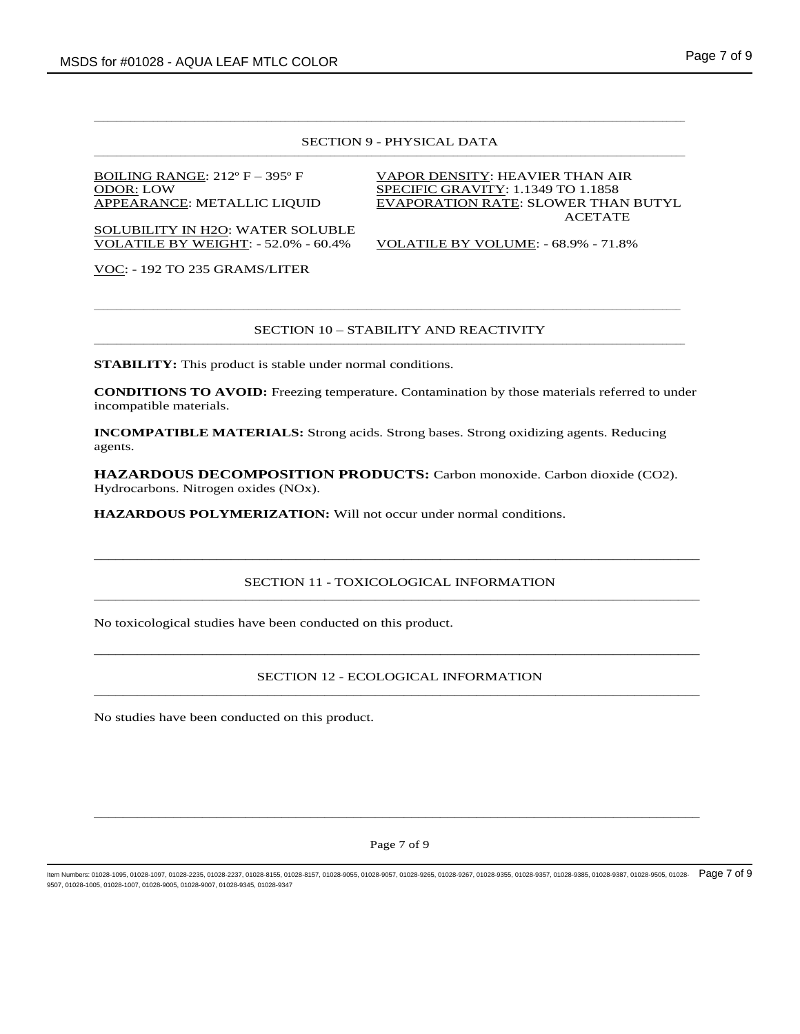#### SECTION 9 - PHYSICAL DATA  $\bot$  , and the state of the state of the state of the state of the state of the state of the state of the state of the state of the state of the state of the state of the state of the state of the state of the state of th

 $\bot$  , and the state of the state of the state of the state of the state of the state of the state of the state of the state of the state of the state of the state of the state of the state of the state of the state of th

SOLUBILITY IN H2O: WATER SOLUBLE VOLATILE BY WEIGHT: - 52.0% - 60.4% VOLATILE BY VOLUME: - 68.9% - 71.8%

BOILING RANGE: 212° F – 395° F VAPOR DENSITY: HEAVIER THAN AIR ODOR: LOW SPECIFIC GRAVITY: 1.1349 TO 1.1858 APPEARANCE: METALLIC LIQUID EVAPORATION RATE: SLOWER THAN BUTYL ACETATE

VOC: - 192 TO 235 GRAMS/LITER

#### SECTION 10 – STABILITY AND REACTIVITY  $\bot$  , and the state of the state of the state of the state of the state of the state of the state of the state of the state of the state of the state of the state of the state of the state of the state of the state of th

\_\_\_\_\_\_\_\_\_\_\_\_\_\_\_\_\_\_\_\_\_\_\_\_\_\_\_\_\_\_\_\_\_\_\_\_\_\_\_\_\_\_\_\_\_\_\_\_\_\_\_\_\_\_\_\_\_\_\_\_\_\_\_\_\_\_\_\_\_\_\_\_\_\_\_\_\_\_\_\_\_\_\_\_\_\_\_\_\_\_\_\_\_\_\_\_\_\_\_\_\_\_\_\_\_\_\_\_\_\_\_\_\_\_\_\_\_\_\_\_\_\_\_\_\_\_\_\_\_

**STABILITY:** This product is stable under normal conditions.

**CONDITIONS TO AVOID:** Freezing temperature. Contamination by those materials referred to under incompatible materials.

**INCOMPATIBLE MATERIALS:** Strong acids. Strong bases. Strong oxidizing agents. Reducing agents.

**HAZARDOUS DECOMPOSITION PRODUCTS:** Carbon monoxide. Carbon dioxide (CO2). Hydrocarbons. Nitrogen oxides (NOx).

**HAZARDOUS POLYMERIZATION:** Will not occur under normal conditions.

### SECTION 11 - TOXICOLOGICAL INFORMATION \_\_\_\_\_\_\_\_\_\_\_\_\_\_\_\_\_\_\_\_\_\_\_\_\_\_\_\_\_\_\_\_\_\_\_\_\_\_\_\_\_\_\_\_\_\_\_\_\_\_\_\_\_\_\_\_\_\_\_\_\_\_\_\_\_\_\_\_\_\_\_\_\_\_\_\_\_\_\_\_\_\_\_\_

\_\_\_\_\_\_\_\_\_\_\_\_\_\_\_\_\_\_\_\_\_\_\_\_\_\_\_\_\_\_\_\_\_\_\_\_\_\_\_\_\_\_\_\_\_\_\_\_\_\_\_\_\_\_\_\_\_\_\_\_\_\_\_\_\_\_\_\_\_\_\_\_\_\_\_\_\_\_\_\_\_\_\_\_

No toxicological studies have been conducted on this product.

## SECTION 12 - ECOLOGICAL INFORMATION \_\_\_\_\_\_\_\_\_\_\_\_\_\_\_\_\_\_\_\_\_\_\_\_\_\_\_\_\_\_\_\_\_\_\_\_\_\_\_\_\_\_\_\_\_\_\_\_\_\_\_\_\_\_\_\_\_\_\_\_\_\_\_\_\_\_\_\_\_\_\_\_\_\_\_\_\_\_\_\_\_\_\_\_

\_\_\_\_\_\_\_\_\_\_\_\_\_\_\_\_\_\_\_\_\_\_\_\_\_\_\_\_\_\_\_\_\_\_\_\_\_\_\_\_\_\_\_\_\_\_\_\_\_\_\_\_\_\_\_\_\_\_\_\_\_\_\_\_\_\_\_\_\_\_\_\_\_\_\_\_\_\_\_\_\_\_\_\_

No studies have been conducted on this product.

### Page 7 of 9

\_\_\_\_\_\_\_\_\_\_\_\_\_\_\_\_\_\_\_\_\_\_\_\_\_\_\_\_\_\_\_\_\_\_\_\_\_\_\_\_\_\_\_\_\_\_\_\_\_\_\_\_\_\_\_\_\_\_\_\_\_\_\_\_\_\_\_\_\_\_\_\_\_\_\_\_\_\_\_\_\_\_\_\_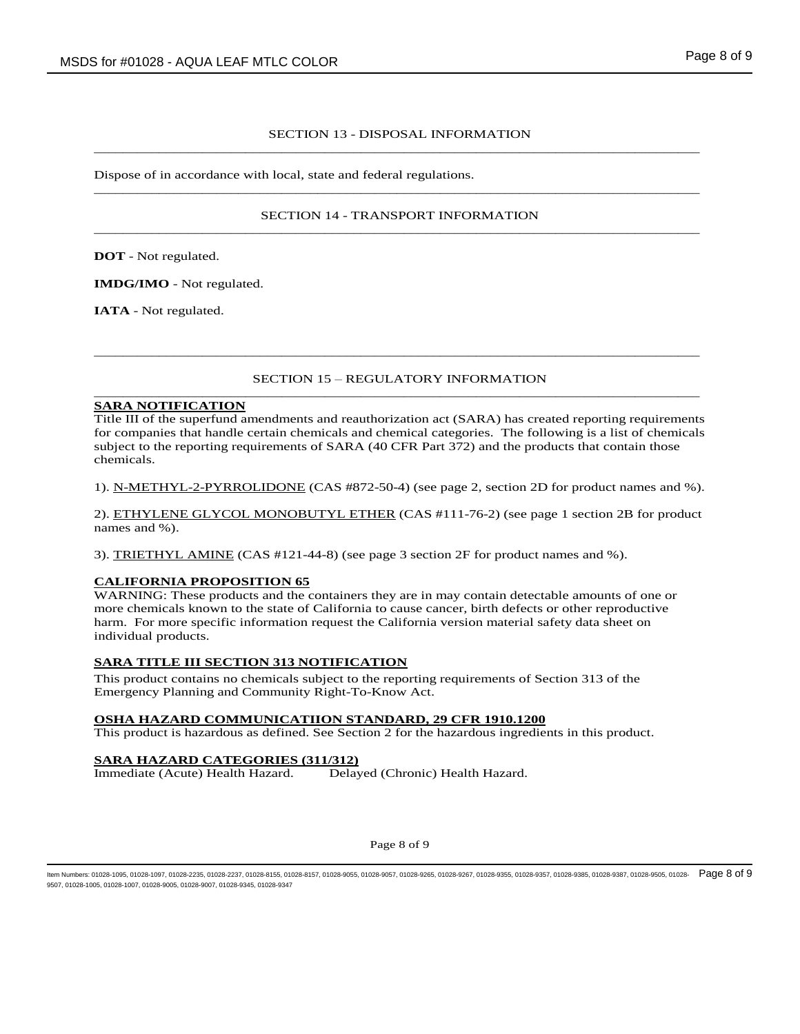## SECTION 13 - DISPOSAL INFORMATION \_\_\_\_\_\_\_\_\_\_\_\_\_\_\_\_\_\_\_\_\_\_\_\_\_\_\_\_\_\_\_\_\_\_\_\_\_\_\_\_\_\_\_\_\_\_\_\_\_\_\_\_\_\_\_\_\_\_\_\_\_\_\_\_\_\_\_\_\_\_\_\_\_\_\_\_\_\_\_\_\_\_\_\_

Dispose of in accordance with local, state and federal regulations.  $\overline{\phantom{a}}$  ,  $\overline{\phantom{a}}$  ,  $\overline{\phantom{a}}$  ,  $\overline{\phantom{a}}$  ,  $\overline{\phantom{a}}$  ,  $\overline{\phantom{a}}$  ,  $\overline{\phantom{a}}$  ,  $\overline{\phantom{a}}$  ,  $\overline{\phantom{a}}$  ,  $\overline{\phantom{a}}$  ,  $\overline{\phantom{a}}$  ,  $\overline{\phantom{a}}$  ,  $\overline{\phantom{a}}$  ,  $\overline{\phantom{a}}$  ,  $\overline{\phantom{a}}$  ,  $\overline{\phantom{a}}$ 

## SECTION 14 - TRANSPORT INFORMATION \_\_\_\_\_\_\_\_\_\_\_\_\_\_\_\_\_\_\_\_\_\_\_\_\_\_\_\_\_\_\_\_\_\_\_\_\_\_\_\_\_\_\_\_\_\_\_\_\_\_\_\_\_\_\_\_\_\_\_\_\_\_\_\_\_\_\_\_\_\_\_\_\_\_\_\_\_\_\_\_\_\_\_\_

**DOT** - Not regulated.

**IMDG/IMO** - Not regulated.

**IATA** - Not regulated.

## SECTION 15 – REGULATORY INFORMATION \_\_\_\_\_\_\_\_\_\_\_\_\_\_\_\_\_\_\_\_\_\_\_\_\_\_\_\_\_\_\_\_\_\_\_\_\_\_\_\_\_\_\_\_\_\_\_\_\_\_\_\_\_\_\_\_\_\_\_\_\_\_\_\_\_\_\_\_\_\_\_\_\_\_\_\_\_\_\_\_\_\_\_\_

\_\_\_\_\_\_\_\_\_\_\_\_\_\_\_\_\_\_\_\_\_\_\_\_\_\_\_\_\_\_\_\_\_\_\_\_\_\_\_\_\_\_\_\_\_\_\_\_\_\_\_\_\_\_\_\_\_\_\_\_\_\_\_\_\_\_\_\_\_\_\_\_\_\_\_\_\_\_\_\_\_\_\_\_

# **SARA NOTIFICATION**

Title III of the superfund amendments and reauthorization act (SARA) has created reporting requirements for companies that handle certain chemicals and chemical categories. The following is a list of chemicals subject to the reporting requirements of SARA (40 CFR Part 372) and the products that contain those chemicals.

1). N-METHYL-2-PYRROLIDONE (CAS #872-50-4) (see page 2, section 2D for product names and %).

2). ETHYLENE GLYCOL MONOBUTYL ETHER (CAS #111-76-2) (see page 1 section 2B for product names and %).

3). TRIETHYL AMINE (CAS #121-44-8) (see page 3 section 2F for product names and %).

## **CALIFORNIA PROPOSITION 65**

WARNING: These products and the containers they are in may contain detectable amounts of one or more chemicals known to the state of California to cause cancer, birth defects or other reproductive harm. For more specific information request the California version material safety data sheet on individual products.

## **SARA TITLE III SECTION 313 NOTIFICATION**

This product contains no chemicals subject to the reporting requirements of Section 313 of the Emergency Planning and Community Right-To-Know Act.

### **OSHA HAZARD COMMUNICATIION STANDARD, 29 CFR 1910.1200**

This product is hazardous as defined. See Section 2 for the hazardous ingredients in this product.

### **SARA HAZARD CATEGORIES (311/312)**

Immediate (Acute) Health Hazard. Delayed (Chronic) Health Hazard.

Page 8 of 9